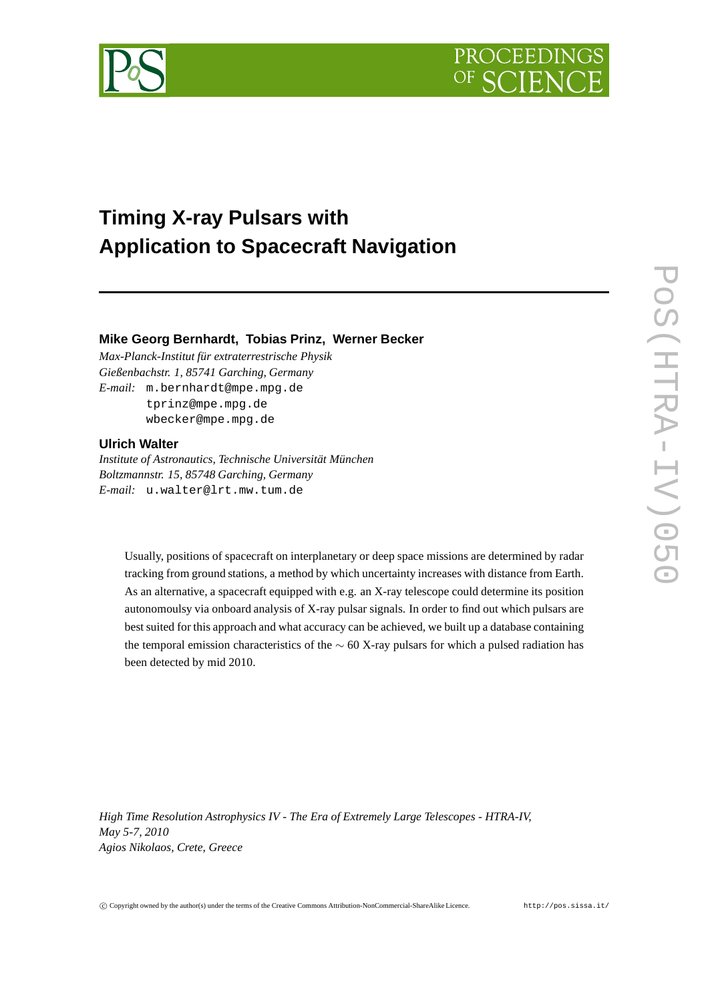



# **Timing X-ray Pulsars with Application to Spacecraft Navigation**

## **Mike Georg Bernhardt, Tobias Prinz, Werner Becker**

*Max-Planck-Institut für extraterrestrische Physik Gießenbachstr. 1, 85741 Garching, Germany E-mail:* m.bernhardt@mpe.mpg.de tprinz@mpe.mpg.de wbecker@mpe.mpg.de

## **Ulrich Walter**

*Institute of Astronautics, Technische Universität München Boltzmannstr. 15, 85748 Garching, Germany E-mail:* u.walter@lrt.mw.tum.de

Usually, positions of spacecraft on interplanetary or deep space missions are determined by radar tracking from ground stations, a method by which uncertainty increases with distance from Earth. As an alternative, a spacecraft equipped with e.g. an X-ray telescope could determine its position autonomoulsy via onboard analysis of X-ray pulsar signals. In order to find out which pulsars are best suited for this approach and what accuracy can be achieved, we built up a database containing the temporal emission characteristics of the  $\sim$  60 X-ray pulsars for which a pulsed radiation has been detected by mid 2010.

*High Time Resolution Astrophysics IV - The Era of Extremely Large Telescopes - HTRA-IV, May 5-7, 2010 Agios Nikolaos, Crete, Greece*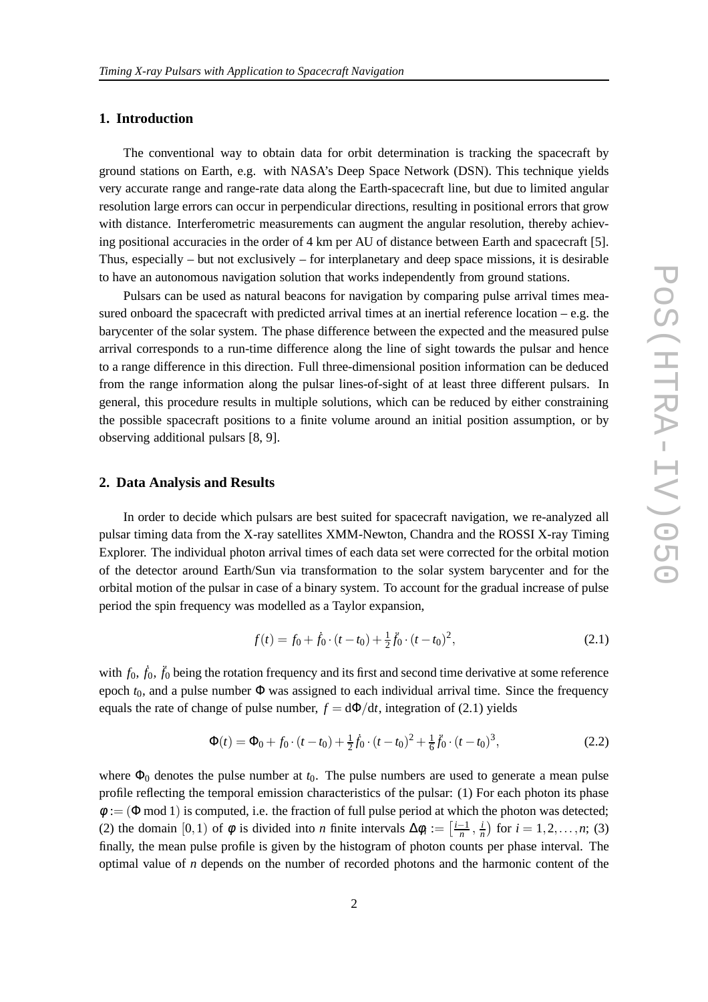## **1. Introduction**

The conventional way to obtain data for orbit determination is tracking the spacecraft by ground stations on Earth, e.g. with NASA's Deep Space Network (DSN). This technique yields very accurate range and range-rate data along the Earth-spacecraft line, but due to limited angular resolution large errors can occur in perpendicular directions, resulting in positional errors that grow with distance. Interferometric measurements can augment the angular resolution, thereby achieving positional accuracies in the order of 4 km per AU of distance between Earth and spacecraft [5]. Thus, especially – but not exclusively – for interplanetary and deep space missions, it is desirable to have an autonomous navigation solution that works independently from ground stations.

Pulsars can be used as natural beacons for navigation by comparing pulse arrival times measured onboard the spacecraft with predicted arrival times at an inertial reference location – e.g. the barycenter of the solar system. The phase difference between the expected and the measured pulse arrival corresponds to a run-time difference along the line of sight towards the pulsar and hence to a range difference in this direction. Full three-dimensional position information can be deduced from the range information along the pulsar lines-of-sight of at least three different pulsars. In general, this procedure results in multiple solutions, which can be reduced by either constraining the possible spacecraft positions to a finite volume around an initial position assumption, or by observing additional pulsars [8, 9].

### **2. Data Analysis and Results**

In order to decide which pulsars are best suited for spacecraft navigation, we re-analyzed all pulsar timing data from the X-ray satellites XMM-Newton, Chandra and the ROSSI X-ray Timing Explorer. The individual photon arrival times of each data set were corrected for the orbital motion of the detector around Earth/Sun via transformation to the solar system barycenter and for the orbital motion of the pulsar in case of a binary system. To account for the gradual increase of pulse period the spin frequency was modelled as a Taylor expansion,

$$
f(t) = f_0 + \dot{f}_0 \cdot (t - t_0) + \frac{1}{2} \ddot{f}_0 \cdot (t - t_0)^2,
$$
\n(2.1)

with  $f_0$ ,  $\ddot{f}_0$ ,  $\ddot{f}_0$  being the rotation frequency and its first and second time derivative at some reference epoch *t*0, and a pulse number Φ was assigned to each individual arrival time. Since the frequency equals the rate of change of pulse number,  $f = d\Phi/dt$ , integration of (2.1) yields

$$
\Phi(t) = \Phi_0 + f_0 \cdot (t - t_0) + \frac{1}{2} \dot{f}_0 \cdot (t - t_0)^2 + \frac{1}{6} \ddot{f}_0 \cdot (t - t_0)^3, \tag{2.2}
$$

where  $\Phi_0$  denotes the pulse number at  $t_0$ . The pulse numbers are used to generate a mean pulse profile reflecting the temporal emission characteristics of the pulsar: (1) For each photon its phase  $\phi := (\Phi \mod 1)$  is computed, i.e. the fraction of full pulse period at which the photon was detected; (2) the domain [0,1) of  $\phi$  is divided into *n* finite intervals  $\Delta \phi_i := \left[\frac{i-1}{n}, \frac{i}{n}\right]$  $\frac{i}{n}$  for  $i = 1, 2, ..., n$ ; (3) finally, the mean pulse profile is given by the histogram of photon counts per phase interval. The optimal value of *n* depends on the number of recorded photons and the harmonic content of the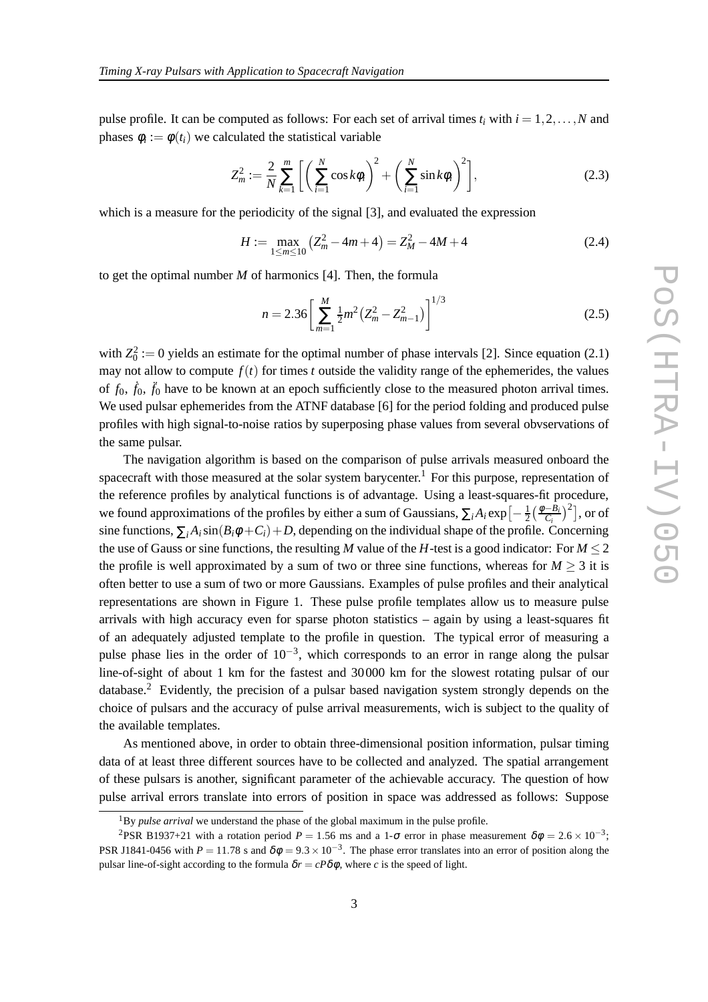pulse profile. It can be computed as follows: For each set of arrival times  $t_i$  with  $i = 1, 2, \ldots, N$  and phases  $\phi_i := \phi(t_i)$  we calculated the statistical variable

$$
Z_m^2 := \frac{2}{N} \sum_{k=1}^m \left[ \left( \sum_{i=1}^N \cos k \phi_i \right)^2 + \left( \sum_{i=1}^N \sin k \phi_i \right)^2 \right],
$$
 (2.3)

which is a measure for the periodicity of the signal [3], and evaluated the expression

$$
H := \max_{1 \le m \le 10} \left( Z_m^2 - 4m + 4 \right) = Z_M^2 - 4M + 4 \tag{2.4}
$$

to get the optimal number *M* of harmonics [4]. Then, the formula

$$
n = 2.36 \left[ \sum_{m=1}^{M} \frac{1}{2} m^2 (Z_m^2 - Z_{m-1}^2) \right]^{1/3}
$$
 (2.5)

with  $Z_0^2 := 0$  yields an estimate for the optimal number of phase intervals [2]. Since equation (2.1) may not allow to compute  $f(t)$  for times *t* outside the validity range of the ephemerides, the values of  $f_0$ ,  $\dot{f}_0$ ,  $\ddot{f}_0$  have to be known at an epoch sufficiently close to the measured photon arrival times. We used pulsar ephemerides from the ATNF database [6] for the period folding and produced pulse profiles with high signal-to-noise ratios by superposing phase values from several obvservations of the same pulsar.

The navigation algorithm is based on the comparison of pulse arrivals measured onboard the spacecraft with those measured at the solar system barycenter.<sup>1</sup> For this purpose, representation of the reference profiles by analytical functions is of advantage. Using a least-squares-fit procedure, we found approximations of the profiles by either a sum of Gaussians,  $\sum_i A_i \exp\left[-\frac{1}{2}\right]$  $\frac{1}{2} \left( \frac{\phi - \bar{B}_i}{C_i} \right)^2$ , or of sine functions,  $\sum_i A_i \sin(B_i \phi + C_i) + D$ , depending on the individual shape of the profile. Concerning the use of Gauss or sine functions, the resulting *M* value of the *H*-test is a good indicator: For  $M \le 2$ the profile is well approximated by a sum of two or three sine functions, whereas for  $M \geq 3$  it is often better to use a sum of two or more Gaussians. Examples of pulse profiles and their analytical representations are shown in Figure 1. These pulse profile templates allow us to measure pulse arrivals with high accuracy even for sparse photon statistics – again by using a least-squares fit of an adequately adjusted template to the profile in question. The typical error of measuring a pulse phase lies in the order of  $10^{-3}$ , which corresponds to an error in range along the pulsar line-of-sight of about 1 km for the fastest and 30000 km for the slowest rotating pulsar of our database.<sup>2</sup> Evidently, the precision of a pulsar based navigation system strongly depends on the choice of pulsars and the accuracy of pulse arrival measurements, wich is subject to the quality of the available templates.

As mentioned above, in order to obtain three-dimensional position information, pulsar timing data of at least three different sources have to be collected and analyzed. The spatial arrangement of these pulsars is another, significant parameter of the achievable accuracy. The question of how pulse arrival errors translate into errors of position in space was addressed as follows: Suppose

<sup>&</sup>lt;sup>1</sup>By *pulse arrival* we understand the phase of the global maximum in the pulse profile.

<sup>&</sup>lt;sup>2</sup>PSR B1937+21 with a rotation period  $P = 1.56$  ms and a 1- $\sigma$  error in phase measurement  $\delta\phi = 2.6 \times 10^{-3}$ ; PSR J1841-0456 with  $P = 11.78$  s and  $\delta\phi = 9.3 \times 10^{-3}$ . The phase error translates into an error of position along the pulsar line-of-sight according to the formula  $\delta r = cP\delta\phi$ , where *c* is the speed of light.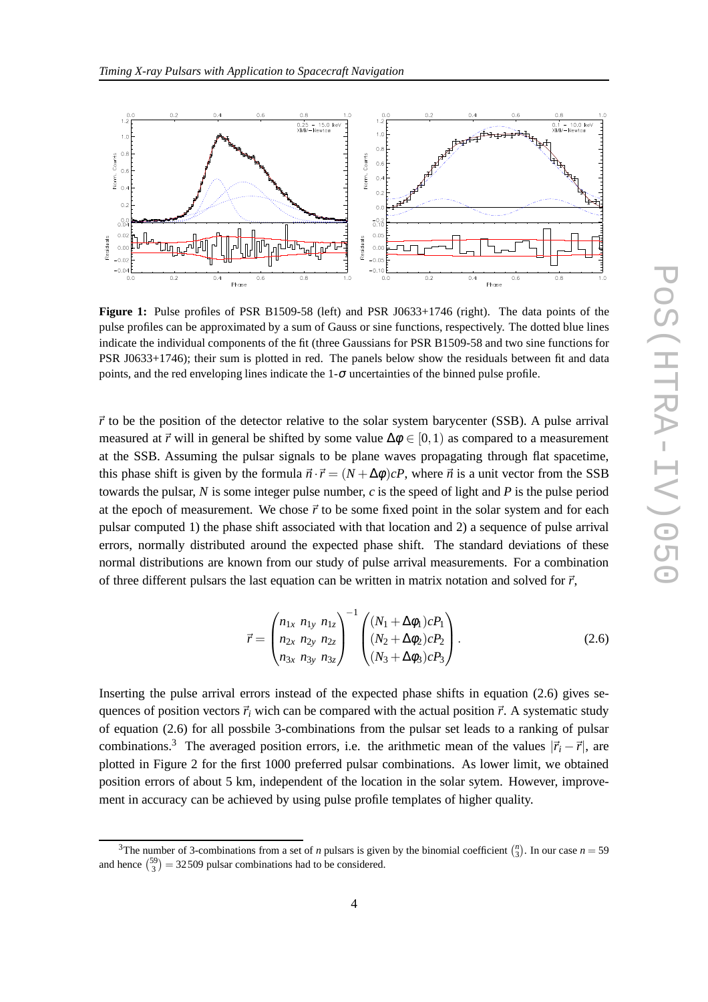

Figure 1: Pulse profiles of PSR B1509-58 (left) and PSR J0633+1746 (right). The data points of the pulse profiles can be approximated by a sum of Gauss or sine functions, respectively. The dotted blue lines indicate the individual components of the fit (three Gaussians for PSR B1509-58 and two sine functions for PSR J0633+1746); their sum is plotted in red. The panels below show the residuals between fit and data points, and the red enveloping lines indicate the  $1-\sigma$  uncertainties of the binned pulse profile.

 $\vec{r}$  to be the position of the detector relative to the solar system barycenter (SSB). A pulse arrival measured at  $\vec{r}$  will in general be shifted by some value  $\Delta \phi \in [0,1)$  as compared to a measurement at the SSB. Assuming the pulsar signals to be plane waves propagating through flat spacetime, this phase shift is given by the formula  $\vec{n} \cdot \vec{r} = (N + \Delta \phi)cP$ , where  $\vec{n}$  is a unit vector from the SSB towards the pulsar, *N* is some integer pulse number, *c* is the speed of light and *P* is the pulse period at the epoch of measurement. We chose  $\vec{r}$  to be some fixed point in the solar system and for each pulsar computed 1) the phase shift associated with that location and 2) a sequence of pulse arrival errors, normally distributed around the expected phase shift. The standard deviations of these normal distributions are known from our study of pulse arrival measurements. For a combination of three different pulsars the last equation can be written in matrix notation and solved for  $\vec{r}$ ,

$$
\vec{r} = \begin{pmatrix} n_{1x} & n_{1y} & n_{1z} \\ n_{2x} & n_{2y} & n_{2z} \\ n_{3x} & n_{3y} & n_{3z} \end{pmatrix}^{-1} \begin{pmatrix} (N_1 + \Delta\phi_1)cP_1 \\ (N_2 + \Delta\phi_2)cP_2 \\ (N_3 + \Delta\phi_3)cP_3 \end{pmatrix} . \tag{2.6}
$$

Inserting the pulse arrival errors instead of the expected phase shifts in equation (2.6) gives sequences of position vectors  $\vec{r}$ *i* wich can be compared with the actual position  $\vec{r}$ . A systematic study of equation (2.6) for all possbile 3-combinations from the pulsar set leads to a ranking of pulsar combinations.<sup>3</sup> The averaged position errors, i.e. the arithmetic mean of the values  $|\vec{r}_i - \vec{r}|$ , are plotted in Figure 2 for the first 1000 preferred pulsar combinations. As lower limit, we obtained position errors of about 5 km, independent of the location in the solar sytem. However, improvement in accuracy can be achieved by using pulse profile templates of higher quality.

<sup>&</sup>lt;sup>3</sup>The number of 3-combinations from a set of *n* pulsars is given by the binomial coefficient  $\binom{n}{3}$ . In our case  $n = 59$ and hence  $\binom{59}{3} = 32509$  pulsar combinations had to be considered.